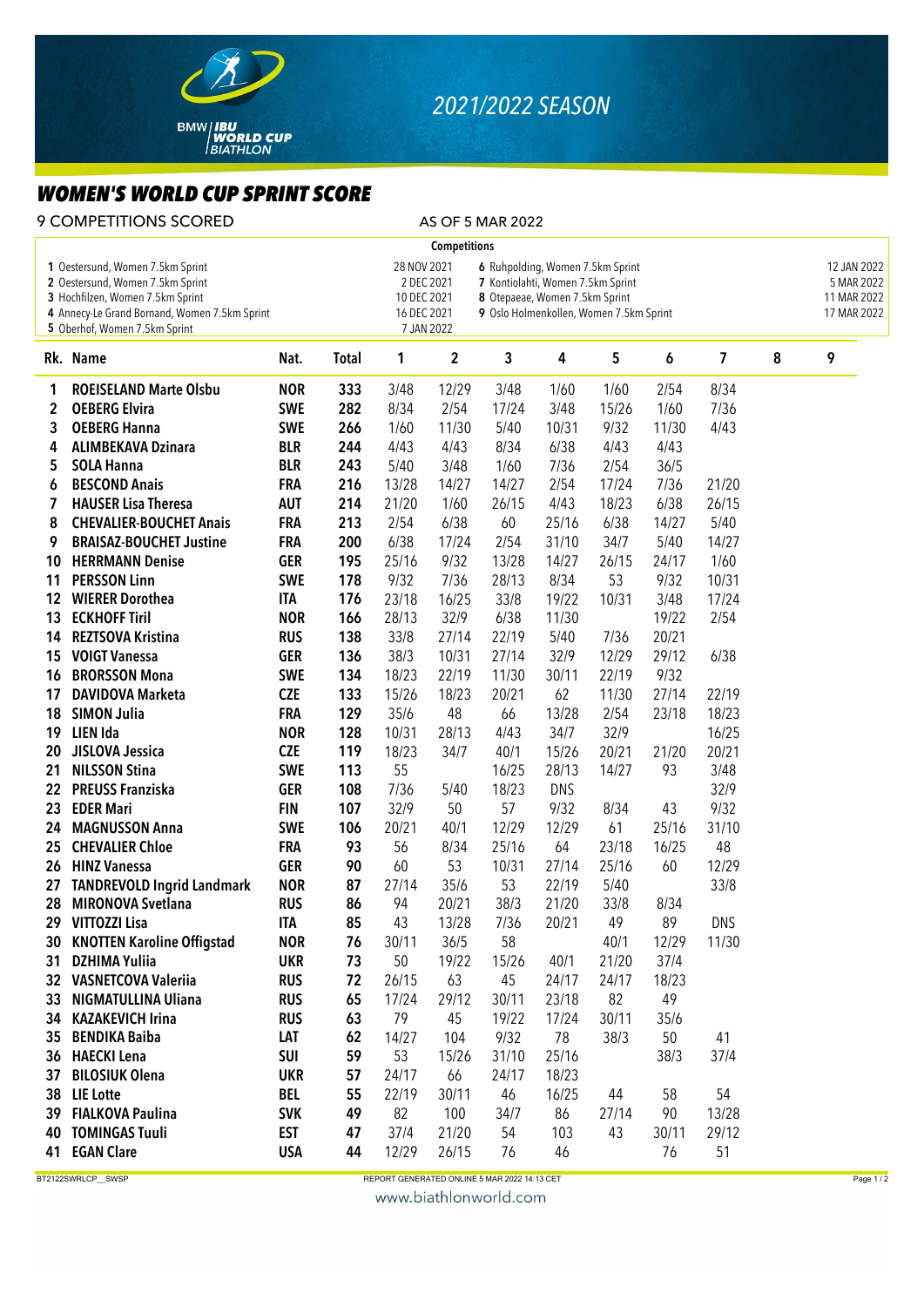

## *2021/2022 SEASON*

## *WOMEN'S WORLD CUP SPRINT SCORE*

| <b>9 COMPETITIONS SCORED</b><br>AS OF 5 MAR 2022                                                                                                                                           |                                   |            |              |                                           |                          |                                                                                                                                                    |            |        |       |                         |   |                                                         |
|--------------------------------------------------------------------------------------------------------------------------------------------------------------------------------------------|-----------------------------------|------------|--------------|-------------------------------------------|--------------------------|----------------------------------------------------------------------------------------------------------------------------------------------------|------------|--------|-------|-------------------------|---|---------------------------------------------------------|
|                                                                                                                                                                                            |                                   |            |              |                                           | <b>Competitions</b>      |                                                                                                                                                    |            |        |       |                         |   |                                                         |
| 1 Oestersund, Women 7.5km Sprint<br>2 Oestersund, Women 7.5km Sprint<br>3 Hochfilzen, Women 7.5km Sprint<br>4 Annecy-Le Grand Bornand, Women 7.5km Sprint<br>5 Oberhof, Women 7.5km Sprint |                                   |            |              | 28 NOV 2021<br>10 DEC 2021<br>16 DEC 2021 | 2 DEC 2021<br>7 JAN 2022 | 6 Ruhpolding, Women 7.5km Sprint<br>7 Kontiolahti, Women 7.5km Sprint<br>8 Otepaeae, Women 7.5km Sprint<br>9 Oslo Holmenkollen, Women 7.5km Sprint |            |        |       |                         |   | 12 JAN 2022<br>5 MAR 2022<br>11 MAR 2022<br>17 MAR 2022 |
|                                                                                                                                                                                            | Rk. Name                          | Nat.       | <b>Total</b> | 1                                         | $\mathbf 2$              | 3                                                                                                                                                  | 4          | 5      | 6     | $\overline{\mathbf{z}}$ | 8 | 9                                                       |
| 1                                                                                                                                                                                          | <b>ROEISELAND Marte Olsbu</b>     | <b>NOR</b> | 333          | 3/48                                      | 12/29                    | 3/48                                                                                                                                               | 1/60       | 1/60   | 2/54  | 8/34                    |   |                                                         |
| 2                                                                                                                                                                                          | <b>OEBERG Elvira</b>              | <b>SWE</b> | 282          | 8/34                                      | 2/54                     | 17/24                                                                                                                                              | 3/48       | 15/26  | 1/60  | 7/36                    |   |                                                         |
| 3                                                                                                                                                                                          | <b>OEBERG Hanna</b>               | <b>SWE</b> | 266          | 1/60                                      | 11/30                    | 5/40                                                                                                                                               | 10/31      | 9/32   | 11/30 | 4/43                    |   |                                                         |
| 4                                                                                                                                                                                          | <b>ALIMBEKAVA Dzinara</b>         | <b>BLR</b> | 244          | 4/43                                      | 4/43                     | 8/34                                                                                                                                               | 6/38       | 4/43   | 4/43  |                         |   |                                                         |
| 5                                                                                                                                                                                          | <b>SOLA Hanna</b>                 | <b>BLR</b> | 243          | 5/40                                      | 3/48                     | 1/60                                                                                                                                               | 7/36       | 2/54   | 36/5  |                         |   |                                                         |
| 6                                                                                                                                                                                          | <b>BESCOND Anais</b>              | <b>FRA</b> | 216          | 13/28                                     | 14/27                    | 14/27                                                                                                                                              | 2/54       | 17/24  | 7/36  | 21/20                   |   |                                                         |
| 7                                                                                                                                                                                          | <b>HAUSER Lisa Theresa</b>        | <b>AUT</b> | 214          | 21/20                                     | 1/60                     | 26/15                                                                                                                                              | 4/43       | 18/23  | 6/38  | 26/15                   |   |                                                         |
| 8                                                                                                                                                                                          | <b>CHEVALIER-BOUCHET Anais</b>    | <b>FRA</b> | 213          | 2/54                                      | 6/38                     | 60                                                                                                                                                 | 25/16      | 6/38   | 14/27 | 5/40                    |   |                                                         |
| 9                                                                                                                                                                                          | <b>BRAISAZ-BOUCHET Justine</b>    | <b>FRA</b> | 200          | 6/38                                      | 17/24                    | 2/54                                                                                                                                               | 31/10      | 34/7   | 5/40  | 14/27                   |   |                                                         |
| 10                                                                                                                                                                                         | <b>HERRMANN Denise</b>            | <b>GER</b> | 195          | 25/16                                     | 9/32                     | 13/28                                                                                                                                              | 14/27      | 26/15  | 24/17 | 1/60                    |   |                                                         |
| 11                                                                                                                                                                                         | <b>PERSSON Linn</b>               | <b>SWE</b> | 178          | 9/32                                      | 7/36                     | 28/13                                                                                                                                              | 8/34       | 53     | 9/32  | 10/31                   |   |                                                         |
| 12                                                                                                                                                                                         | <b>WIERER Dorothea</b>            | <b>ITA</b> | 176          | 23/18                                     | 16/25                    | 33/8                                                                                                                                               | 19/22      | 10/31  | 3/48  | 17/24                   |   |                                                         |
| 13                                                                                                                                                                                         | <b>ECKHOFF Tiril</b>              | <b>NOR</b> | 166          | 28/13                                     | 32/9                     | 6/38                                                                                                                                               | 11/30      |        | 19/22 | 2/54                    |   |                                                         |
| 14                                                                                                                                                                                         | <b>REZTSOVA Kristina</b>          | <b>RUS</b> | 138          | 33/8                                      | 27/14                    | 22/19                                                                                                                                              | 5/40       | 7/36   | 20/21 |                         |   |                                                         |
| 15                                                                                                                                                                                         | <b>VOIGT Vanessa</b>              | <b>GER</b> | 136          | 38/3                                      | 10/31                    | 27/14                                                                                                                                              | 32/9       | 12/29  | 29/12 | 6/38                    |   |                                                         |
| 16                                                                                                                                                                                         | <b>BRORSSON Mona</b>              | <b>SWE</b> | 134          | 18/23                                     | 22/19                    | 11/30                                                                                                                                              | 30/11      | 22/19  | 9/32  |                         |   |                                                         |
| 17                                                                                                                                                                                         | <b>DAVIDOVA Marketa</b>           | <b>CZE</b> | 133          | 15/26                                     | 18/23                    | 20/21                                                                                                                                              | 62         | 11/30  | 27/14 | 22/19                   |   |                                                         |
| 18                                                                                                                                                                                         | <b>SIMON Julia</b>                | <b>FRA</b> | 129          | 35/6                                      | 48                       | 66                                                                                                                                                 | 13/28      | 2/54   | 23/18 | 18/23                   |   |                                                         |
| 19                                                                                                                                                                                         | LIEN Ida                          | <b>NOR</b> | 128          | 10/31                                     | 28/13                    | 4/43                                                                                                                                               | 34/7       | 32/9   |       | 16/25                   |   |                                                         |
| 20                                                                                                                                                                                         | JISLOVA Jessica                   | <b>CZE</b> | 119          | 18/23                                     | 34/7                     | 40/1                                                                                                                                               | 15/26      | 20/21  | 21/20 | 20/21                   |   |                                                         |
| 21                                                                                                                                                                                         | <b>NILSSON Stina</b>              | <b>SWE</b> | 113          | 55                                        |                          | 16/25                                                                                                                                              | 28/13      | 14/27  | 93    | 3/48                    |   |                                                         |
| 22                                                                                                                                                                                         | <b>PREUSS Franziska</b>           | <b>GER</b> | 108          | 7/36                                      | 5/40                     | 18/23                                                                                                                                              | <b>DNS</b> |        |       | 32/9                    |   |                                                         |
| 23                                                                                                                                                                                         | <b>EDER Mari</b>                  | <b>FIN</b> | 107          | 32/9                                      | 50                       | 57                                                                                                                                                 | 9/32       | 8/34   | 43    | 9/32                    |   |                                                         |
| 24                                                                                                                                                                                         | <b>MAGNUSSON Anna</b>             | <b>SWE</b> | 106          | 20/21                                     | 40/1                     | 12/29                                                                                                                                              | 12/29      | 61     | 25/16 | 31/10                   |   |                                                         |
| 25                                                                                                                                                                                         | <b>CHEVALIER Chloe</b>            | <b>FRA</b> | 93           | 56                                        | 8/34                     | 25/16                                                                                                                                              | 64         | 23/18  | 16/25 | 48                      |   |                                                         |
| 26                                                                                                                                                                                         | <b>HINZ Vanessa</b>               | <b>GER</b> | 90           | 60                                        | 53                       | 10/31                                                                                                                                              | 27/14      | 25/16  | 60    | 12/29                   |   |                                                         |
| 27                                                                                                                                                                                         | <b>TANDREVOLD Ingrid Landmark</b> | <b>NOR</b> | 87           | 27/14                                     | 35/6                     | 53                                                                                                                                                 | 22/19      | $5/40$ |       | 33/8                    |   |                                                         |
| 28                                                                                                                                                                                         | <b>MIRONOVA Svetlana</b>          | <b>RUS</b> | 86           | 94                                        | 20/21                    | 38/3                                                                                                                                               | 21/20      | 33/8   | 8/34  |                         |   |                                                         |
|                                                                                                                                                                                            | 29 VITTOZZI Lisa                  | ITA        | 85           | 43                                        | 13/28                    | 7/36                                                                                                                                               | 20/21      | 49     | 89    | <b>DNS</b>              |   |                                                         |
| 30                                                                                                                                                                                         | <b>KNOTTEN Karoline Offigstad</b> | <b>NOR</b> | 76           | 30/11                                     | 36/5                     | 58                                                                                                                                                 |            | 40/1   | 12/29 | 11/30                   |   |                                                         |
| 31                                                                                                                                                                                         | <b>DZHIMA Yuliia</b>              | <b>UKR</b> | 73           | 50                                        | 19/22                    | 15/26                                                                                                                                              | 40/1       | 21/20  | 37/4  |                         |   |                                                         |
|                                                                                                                                                                                            | 32 VASNETCOVA Valeriia            | <b>RUS</b> | 72           | 26/15                                     | 63                       | 45                                                                                                                                                 | 24/17      | 24/17  | 18/23 |                         |   |                                                         |
| 33                                                                                                                                                                                         | <b>NIGMATULLINA Uliana</b>        | <b>RUS</b> | 65           | 17/24                                     | 29/12                    | 30/11                                                                                                                                              | 23/18      | 82     | 49    |                         |   |                                                         |
| 34                                                                                                                                                                                         | <b>KAZAKEVICH Irina</b>           | <b>RUS</b> | 63           | 79                                        | 45                       | 19/22                                                                                                                                              | 17/24      | 30/11  | 35/6  |                         |   |                                                         |
| 35                                                                                                                                                                                         | <b>BENDIKA Baiba</b>              | LAT        | 62           | 14/27                                     | 104                      | 9/32                                                                                                                                               | 78         | 38/3   | 50    | 41                      |   |                                                         |
| 36                                                                                                                                                                                         | <b>HAECKI Lena</b>                | <b>SUI</b> | 59           | 53                                        | 15/26                    | 31/10                                                                                                                                              | 25/16      |        | 38/3  | 37/4                    |   |                                                         |
| 37                                                                                                                                                                                         | <b>BILOSIUK Olena</b>             | <b>UKR</b> | 57           | 24/17                                     | 66                       | 24/17                                                                                                                                              | 18/23      |        |       |                         |   |                                                         |
| 38                                                                                                                                                                                         | <b>LIE</b> Lotte                  | <b>BEL</b> | 55           | 22/19                                     | 30/11                    | 46                                                                                                                                                 | 16/25      | 44     | 58    | 54                      |   |                                                         |
| 39                                                                                                                                                                                         | <b>FIALKOVA Paulina</b>           | <b>SVK</b> | 49           | 82                                        | 100                      | 34/7                                                                                                                                               | 86         | 27/14  | 90    | 13/28                   |   |                                                         |
| 40                                                                                                                                                                                         | <b>TOMINGAS Tuuli</b>             | <b>EST</b> | 47           | 37/4                                      | 21/20                    | 54                                                                                                                                                 | 103        | 43     | 30/11 | 29/12                   |   |                                                         |
| 41                                                                                                                                                                                         | <b>EGAN Clare</b>                 | <b>USA</b> | 44           | 12/29                                     | 26/15                    | 76                                                                                                                                                 | 46         |        | 76    | 51                      |   |                                                         |
|                                                                                                                                                                                            |                                   |            |              |                                           |                          |                                                                                                                                                    |            |        |       |                         |   |                                                         |

BT2122SWRLCP\_\_SWSP Page 1/2

www.biathlonworld.com